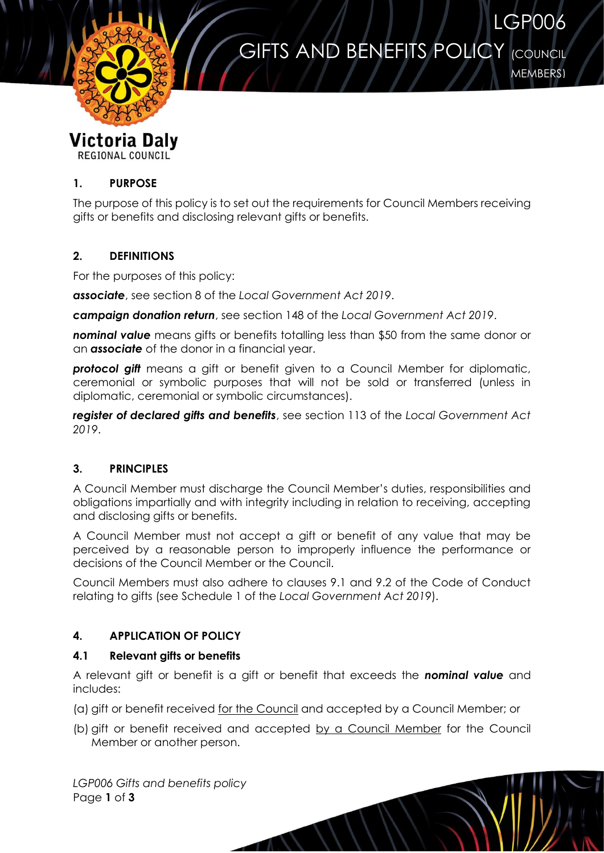# **GIFTS AND BENEFITS POLICY (COUNCIL**



MEMBERS)

LGP006

#### Victoria Daly **REGIONAL COUNCIL**

**1. PURPOSE**

The purpose of this policy is to set out the requirements for Council Members receiving gifts or benefits and disclosing relevant gifts or benefits.

## **2. DEFINITIONS**

For the purposes of this policy:

*associate*, see section 8 of the *Local Government Act 2019*.

*campaign donation return*, see section 148 of the *Local Government Act 2019*.

**nominal value** means gifts or benefits totalling less than \$50 from the same donor or an *associate* of the donor in a financial year.

*protocol gift* means a gift or benefit given to a Council Member for diplomatic, ceremonial or symbolic purposes that will not be sold or transferred (unless in diplomatic, ceremonial or symbolic circumstances).

*register of declared gifts and benefits*, see section 113 of the *Local Government Act 2019*.

## **3. PRINCIPLES**

A Council Member must discharge the Council Member's duties, responsibilities and obligations impartially and with integrity including in relation to receiving, accepting and disclosing gifts or benefits.

A Council Member must not accept a gift or benefit of any value that may be perceived by a reasonable person to improperly influence the performance or decisions of the Council Member or the Council.

Council Members must also adhere to clauses 9.1 and 9.2 of the Code of Conduct relating to gifts (see Schedule 1 of the *Local Government Act 2019*).

# **4. APPLICATION OF POLICY**

## **4.1 Relevant gifts or benefits**

A relevant gift or benefit is a gift or benefit that exceeds the *nominal value* and includes:

(a) gift or benefit received for the Council and accepted by a Council Member; or

(b) gift or benefit received and accepted by a Council Member for the Council Member or another person.

*LGP006 Gifts and benefits policy* Page **1** of **3**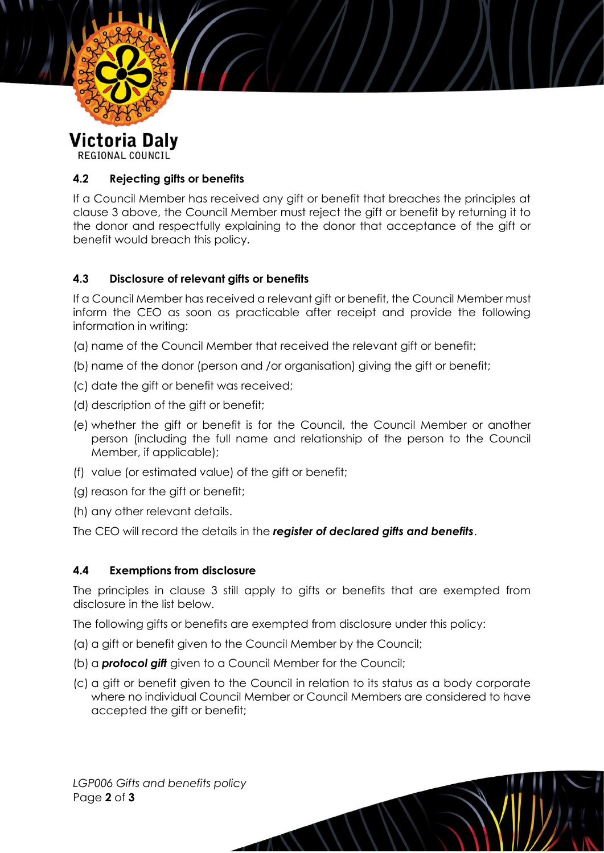

**Victoria Daly REGIONAL COUNCIL** 

## **4.2 Rejecting gifts or benefits**

If a Council Member has received any gift or benefit that breaches the principles at clause 3 above, the Council Member must reject the gift or benefit by returning it to the donor and respectfully explaining to the donor that acceptance of the gift or benefit would breach this policy.

## **4.3 Disclosure of relevant gifts or benefits**

If a Council Member has received a relevant gift or benefit, the Council Member must inform the CEO as soon as practicable after receipt and provide the following information in writing:

(a) name of the Council Member that received the relevant gift or benefit;

- (b) name of the donor (person and /or organisation) giving the gift or benefit;
- (c) date the gift or benefit was received;
- (d) description of the gift or benefit;
- (e) whether the gift or benefit is for the Council, the Council Member or another person (including the full name and relationship of the person to the Council Member, if applicable);
- (f) value (or estimated value) of the gift or benefit;
- (g) reason for the gift or benefit;
- (h) any other relevant details.

The CEO will record the details in the *register of declared gifts and benefits*.

### **4.4 Exemptions from disclosure**

The principles in clause 3 still apply to gifts or benefits that are exempted from disclosure in the list below.

The following gifts or benefits are exempted from disclosure under this policy:

- (a) a gift or benefit given to the Council Member by the Council;
- (b) a *protocol gift* given to a Council Member for the Council;
- (c) a gift or benefit given to the Council in relation to its status as a body corporate where no individual Council Member or Council Members are considered to have accepted the gift or benefit;